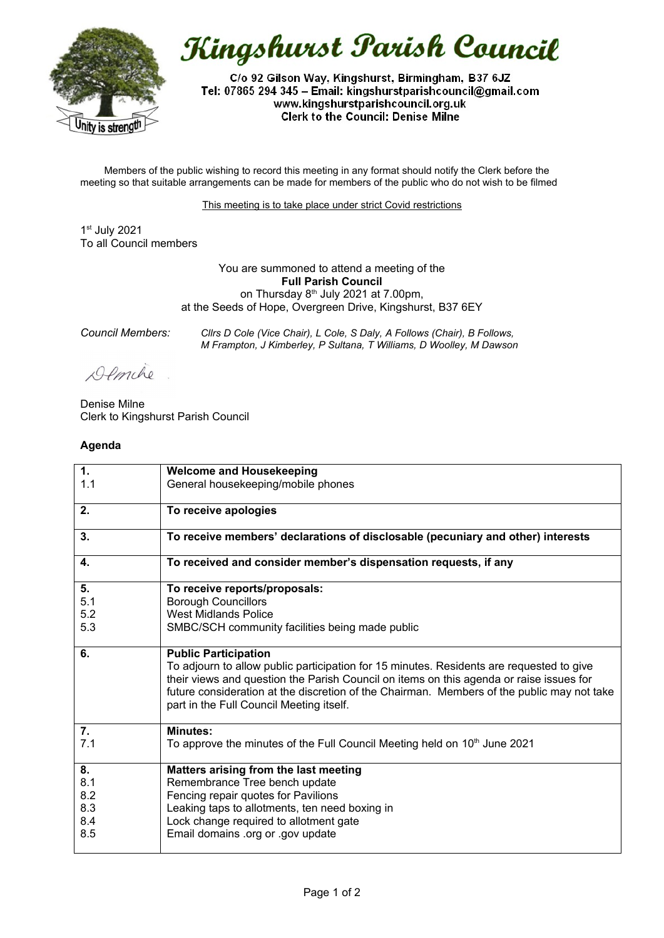

Kingshurst Parish Council

C/o 92 Gilson Way, Kingshurst, Birmingham, B37 6JZ Tel: 07865 294 345 - Email: kingshurstparishcouncil@gmail.com www.kingshurstparishcouncil.org.uk **Clerk to the Council: Denise Milne** 

Members of the public wishing to record this meeting in any format should notify the Clerk before the meeting so that suitable arrangements can be made for members of the public who do not wish to be filmed

This meeting is to take place under strict Covid restrictions

1 st July 2021 To all Council members

> You are summoned to attend a meeting of the **Full Parish Council** on Thursday  $8<sup>th</sup>$  July 2021 at 7.00pm, at the Seeds of Hope, Overgreen Drive, Kingshurst, B37 6EY

*Council Members: Cllrs D Cole (Vice Chair), L Cole, S Daly, A Follows (Chair), B Follows, M Frampton, J Kimberley, P Sultana, T Williams, D Woolley, M Dawson*

Demche

Denise Milne Clerk to Kingshurst Parish Council

## **Agenda**

| 1.        | <b>Welcome and Housekeeping</b>                                                                                                                                                                                                                                                                                                                              |
|-----------|--------------------------------------------------------------------------------------------------------------------------------------------------------------------------------------------------------------------------------------------------------------------------------------------------------------------------------------------------------------|
| 1.1       | General housekeeping/mobile phones                                                                                                                                                                                                                                                                                                                           |
| 2.        | To receive apologies                                                                                                                                                                                                                                                                                                                                         |
| 3.        | To receive members' declarations of disclosable (pecuniary and other) interests                                                                                                                                                                                                                                                                              |
| 4.        | To received and consider member's dispensation requests, if any                                                                                                                                                                                                                                                                                              |
| 5.        | To receive reports/proposals:                                                                                                                                                                                                                                                                                                                                |
| 5.1       | <b>Borough Councillors</b>                                                                                                                                                                                                                                                                                                                                   |
| 5.2       | <b>West Midlands Police</b>                                                                                                                                                                                                                                                                                                                                  |
| 5.3       | SMBC/SCH community facilities being made public                                                                                                                                                                                                                                                                                                              |
| 6.        | <b>Public Participation</b><br>To adjourn to allow public participation for 15 minutes. Residents are requested to give<br>their views and question the Parish Council on items on this agenda or raise issues for<br>future consideration at the discretion of the Chairman. Members of the public may not take<br>part in the Full Council Meeting itself. |
| 7.<br>7.1 | <b>Minutes:</b><br>To approve the minutes of the Full Council Meeting held on 10 <sup>th</sup> June 2021                                                                                                                                                                                                                                                     |
| 8.        | Matters arising from the last meeting                                                                                                                                                                                                                                                                                                                        |
| 8.1       | Remembrance Tree bench update                                                                                                                                                                                                                                                                                                                                |
| 8.2       | Fencing repair quotes for Pavilions                                                                                                                                                                                                                                                                                                                          |
| 8.3       | Leaking taps to allotments, ten need boxing in                                                                                                                                                                                                                                                                                                               |
| 8.4       | Lock change required to allotment gate                                                                                                                                                                                                                                                                                                                       |
| 8.5       | Email domains .org or .gov update                                                                                                                                                                                                                                                                                                                            |